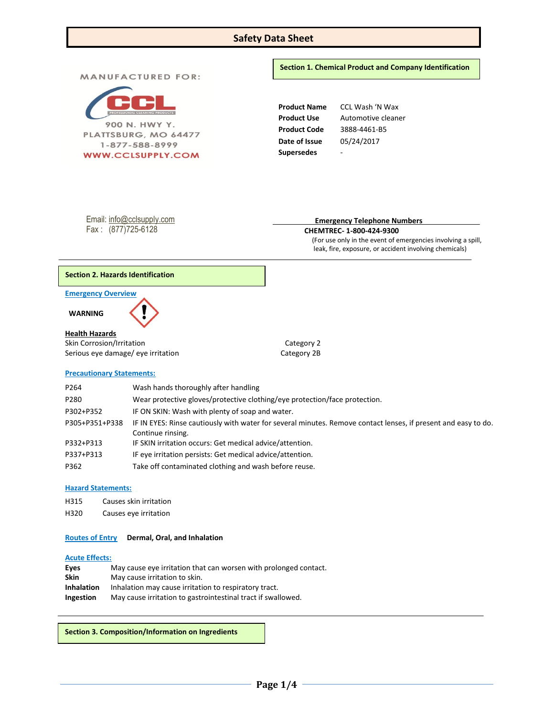# **Safety Data Sheet**

**MANUFACTURED FOR:** 



### **Section 1. Chemical Product and Company Identification**

**Product Name** CCL Wash 'N Wax **Product Use** Automotive cleaner **Product Code** 3888-4461-B5 **Date of Issue** 05/24/2017 **Supersedes** -

Email: [info@cclsupply.com](mailto:info@cclsupply.com) Fax : (877)725-6128

# **Emergency Telephone Numbers**

 **CHEMTREC- 1-800-424-9300** (For use only in the event of emergencies involving a spill, leak, fire, exposure, or accident involving chemicals)

### **Section 2. Hazards Identification**

**Emergency Overview** 

### **WARNING**



## **Health Hazards** Skin Corrosion/Irritation Category 2

Serious eye damage/ eye irritation Category 2B

# **Precautionary Statements:**

| P264           | Wash hands thoroughly after handling                                                                           |
|----------------|----------------------------------------------------------------------------------------------------------------|
| P280           | Wear protective gloves/protective clothing/eye protection/face protection.                                     |
| P302+P352      | IF ON SKIN: Wash with plenty of soap and water.                                                                |
| P305+P351+P338 | IF IN EYES: Rinse cautiously with water for several minutes. Remove contact lenses, if present and easy to do. |
|                | Continue rinsing.                                                                                              |
| P332+P313      | IF SKIN irritation occurs: Get medical advice/attention.                                                       |
| P337+P313      | IF eye irritation persists: Get medical advice/attention.                                                      |
| P362           | Take off contaminated clothing and wash before reuse.                                                          |

## **Hazard Statements:**

- H315 Causes skin irritation
- H320 Causes eye irritation

### **Routes of Entry Dermal, Oral, and Inhalation**

# **Acute Effects:**

| Eves              | May cause eye irritation that can worsen with prolonged contact. |
|-------------------|------------------------------------------------------------------|
| Skin              | May cause irritation to skin.                                    |
| <b>Inhalation</b> | Inhalation may cause irritation to respiratory tract.            |
| Ingestion         | May cause irritation to gastrointestinal tract if swallowed.     |

**Section 3. Composition/Information on Ingredients**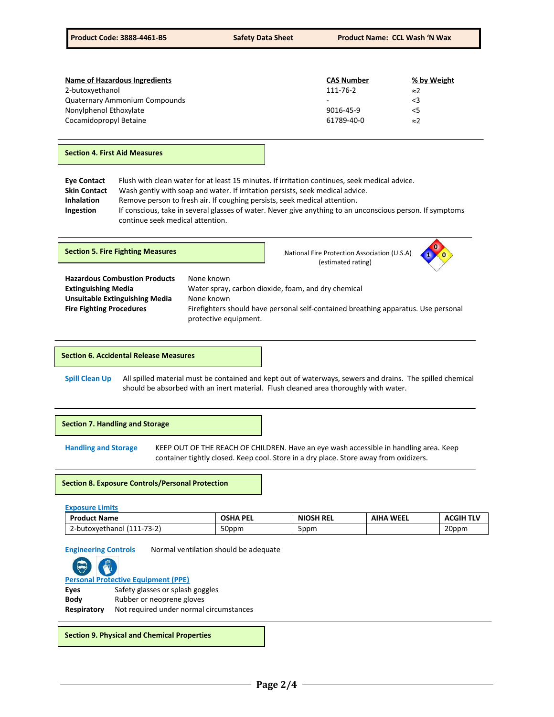| Name of Hazardous Ingredients | <b>CAS Number</b>        | % by Weight |
|-------------------------------|--------------------------|-------------|
| 2-butoxyethanol               | 111-76-2                 | $\approx$ 2 |
| Quaternary Ammonium Compounds | $\overline{\phantom{0}}$ | 3           |
| Nonylphenol Ethoxylate        | 9016-45-9                | <5          |
| Cocamidopropyl Betaine        | 61789-40-0               | $\approx$   |

### **Section 4. First Aid Measures**

| <b>Eye Contact</b>  | Flush with clean water for at least 15 minutes. If irritation continues, seek medical advice.             |
|---------------------|-----------------------------------------------------------------------------------------------------------|
| <b>Skin Contact</b> | Wash gently with soap and water. If irritation persists, seek medical advice.                             |
| <b>Inhalation</b>   | Remove person to fresh air. If coughing persists, seek medical attention.                                 |
| Ingestion           | If conscious, take in several glasses of water. Never give anything to an unconscious person. If symptoms |
|                     | continue seek medical attention.                                                                          |



**Section 6. Accidental Release Measures**

**Spill Clean Up** All spilled material must be contained and kept out of waterways, sewers and drains. The spilled chemical should be absorbed with an inert material. Flush cleaned area thoroughly with water.

### **Section 7. Handling and Storage**

**Handling and Storage** KEEP OUT OF THE REACH OF CHILDREN. Have an eye wash accessible in handling area. Keep container tightly closed. Keep cool. Store in a dry place. Store away from oxidizers.

#### **Section 8. Exposure Controls/Personal Protection**

| <b>Exposure Limits</b>     |                 |                  |                  |                  |  |  |
|----------------------------|-----------------|------------------|------------------|------------------|--|--|
| <b>Product Name</b>        | <b>OSHA PEL</b> | <b>NIOSH REL</b> | <b>AIHA WEEL</b> | <b>ACGIH TLV</b> |  |  |
| 2-butoxyethanol (111-73-2) | 50ppm           | 5ppm             |                  | 20ppm            |  |  |

**Engineering Controls** Normal ventilation should be adequate

|             | <b>Personal Protective Equipment (PPE)</b> |
|-------------|--------------------------------------------|
| Eyes        | Safety glasses or splash goggles           |
| <b>Body</b> | Rubber or neoprene gloves                  |
| Respiratory | Not required under normal circumstances    |

### **Section 9. Physical and Chemical Properties**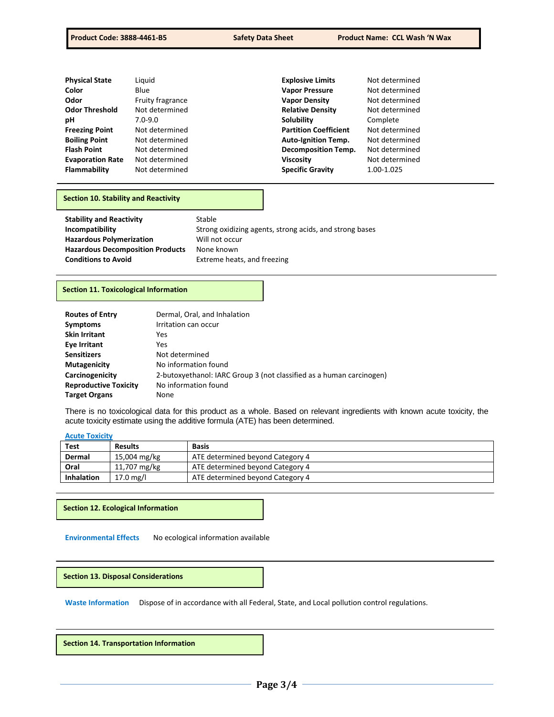| <b>Physical State</b>   | Liguid           | <b>Explosive Limits</b>      | Not determined |
|-------------------------|------------------|------------------------------|----------------|
| Color                   | Blue             | <b>Vapor Pressure</b>        | Not determined |
| Odor                    | Fruity fragrance | <b>Vapor Density</b>         | Not determined |
| <b>Odor Threshold</b>   | Not determined   | <b>Relative Density</b>      | Not determined |
| рH                      | $7.0 - 9.0$      | Solubility                   | Complete       |
| <b>Freezing Point</b>   | Not determined   | <b>Partition Coefficient</b> | Not determined |
| <b>Boiling Point</b>    | Not determined   | <b>Auto-Ignition Temp.</b>   | Not determined |
| <b>Flash Point</b>      | Not determined   | <b>Decomposition Temp.</b>   | Not determined |
| <b>Evaporation Rate</b> | Not determined   | <b>Viscosity</b>             | Not determined |
| Flammability            | Not determined   | <b>Specific Gravity</b>      | 1.00-1.025     |

### **Section 10. Stability and Reactivity**

| <b>Stability and Reactivity</b>         | Stable                                                  |
|-----------------------------------------|---------------------------------------------------------|
| Incompatibility                         | Strong oxidizing agents, strong acids, and strong bases |
| <b>Hazardous Polymerization</b>         | Will not occur                                          |
| <b>Hazardous Decomposition Products</b> | None known                                              |
| <b>Conditions to Avoid</b>              | Extreme heats, and freezing                             |

### **Section 11. Toxicological Information**

| <b>Routes of Entry</b>       | Dermal, Oral, and Inhalation                                         |
|------------------------------|----------------------------------------------------------------------|
| <b>Symptoms</b>              | Irritation can occur                                                 |
| <b>Skin Irritant</b>         | Yes                                                                  |
| Eye Irritant                 | Yes                                                                  |
| <b>Sensitizers</b>           | Not determined                                                       |
| <b>Mutagenicity</b>          | No information found                                                 |
| Carcinogenicity              | 2-butoxyethanol: IARC Group 3 (not classified as a human carcinogen) |
| <b>Reproductive Toxicity</b> | No information found                                                 |
| <b>Target Organs</b>         | None                                                                 |

There is no toxicological data for this product as a whole. Based on relevant ingredients with known acute toxicity, the acute toxicity estimate using the additive formula (ATE) has been determined.

#### **Acute Toxicity**

| <b>Test</b>       | <b>Results</b> | <b>Basis</b>                     |
|-------------------|----------------|----------------------------------|
| Dermal            | 15,004 mg/kg   | ATE determined beyond Category 4 |
| Oral              | 11,707 mg/kg   | ATE determined beyond Category 4 |
| <b>Inhalation</b> | 17.0 mg/l      | ATE determined beyond Category 4 |

**Section 12. Ecological Information**

**Environmental Effects** No ecological information available

### **Section 13. Disposal Considerations**

**Waste Information** Dispose of in accordance with all Federal, State, and Local pollution control regulations.

**Section 14. Transportation Information**